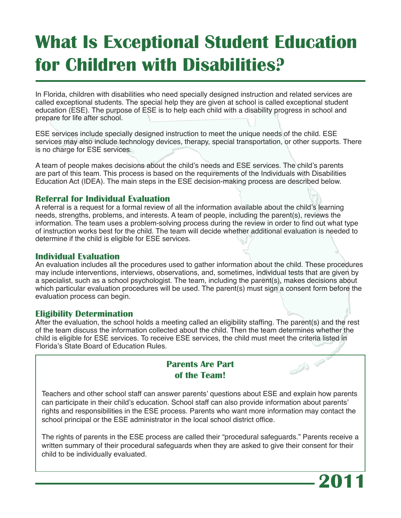# **What Is Exceptional Student Education for Children with Disabilities?**

In Florida, children with disabilities who need specially designed instruction and related services are called exceptional students. The special help they are given at school is called exceptional student education (ESE). The purpose of ESE is to help each child with a disability progress in school and prepare for life after school.

ESE services include specially designed instruction to meet the unique needs of the child. ESE services may also include technology devices, therapy, special transportation, or other supports. There is no charge for ESE services.

A team of people makes decisions about the child's needs and ESE services. The child's parents are part of this team. This process is based on the requirements of the Individuals with Disabilities Education Act (IDEA). The main steps in the ESE decision-making process are described below.

### **Referral for Individual Evaluation**

A referral is a request for a formal review of all the information available about the child's learning needs, strengths, problems, and interests. A team of people, including the parent(s), reviews the information. The team uses a problem-solving process during the review in order to find out what type of instruction works best for the child. The team will decide whether additional evaluation is needed to determine if the child is eligible for ESE services.

### **Individual Evaluation**

An evaluation includes all the procedures used to gather information about the child. These procedures may include interventions, interviews, observations, and, sometimes, individual tests that are given by a specialist, such as a school psychologist. The team, including the parent(s), makes decisions about which particular evaluation procedures will be used. The parent(s) must sign a consent form before the evaluation process can begin.

#### **Eligibility Determination**

After the evaluation, the school holds a meeting called an eligibility staffing. The parent(s) and the rest of the team discuss the information collected about the child. Then the team determines whether the child is eligible for ESE services. To receive ESE services, the child must meet the criteria listed in Florida's State Board of Education Rules.

# **Parents Are Part of the Team!**

Teachers and other school staff can answer parents' questions about ESE and explain how parents can participate in their child's education. School staff can also provide information about parents' rights and responsibilities in the ESE process. Parents who want more information may contact the school principal or the ESE administrator in the local school district office.

The rights of parents in the ESE process are called their "procedural safeguards." Parents receive a written summary of their procedural safeguards when they are asked to give their consent for their child to be individually evaluated.



 $\begin{picture}(100,10) \put(0,0){\line(1,0){10}} \put(10,0){\line(1,0){10}} \put(10,0){\line(1,0){10}} \put(10,0){\line(1,0){10}} \put(10,0){\line(1,0){10}} \put(10,0){\line(1,0){10}} \put(10,0){\line(1,0){10}} \put(10,0){\line(1,0){10}} \put(10,0){\line(1,0){10}} \put(10,0){\line(1,0){10}} \put(10,0){\line(1,0){10}} \put(10,0){\line($